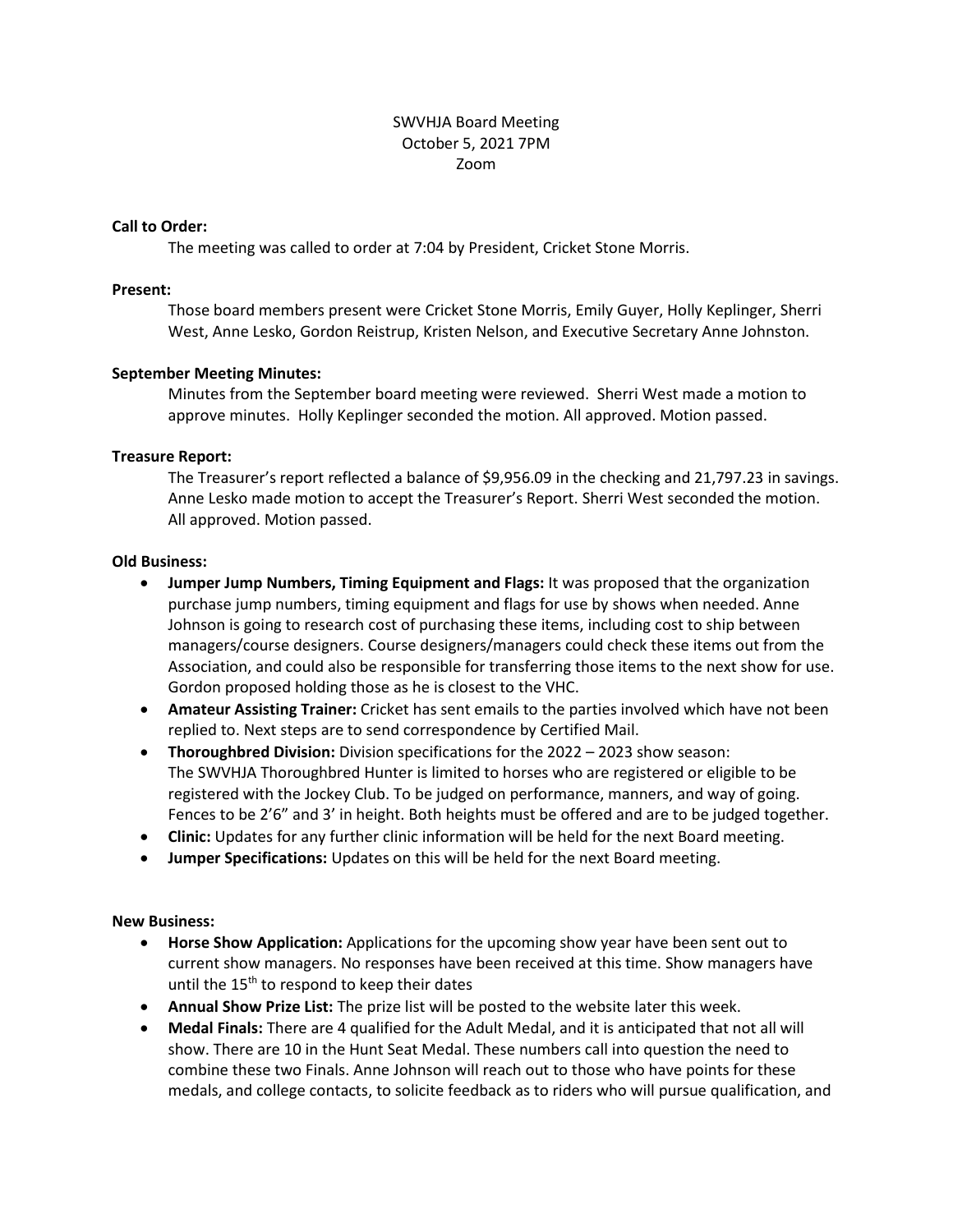### SWVHJA Board Meeting October 5, 2021 7PM Zoom

#### **Call to Order:**

The meeting was called to order at 7:04 by President, Cricket Stone Morris.

#### **Present:**

Those board members present were Cricket Stone Morris, Emily Guyer, Holly Keplinger, Sherri West, Anne Lesko, Gordon Reistrup, Kristen Nelson, and Executive Secretary Anne Johnston.

# **September Meeting Minutes:**

Minutes from the September board meeting were reviewed. Sherri West made a motion to approve minutes. Holly Keplinger seconded the motion. All approved. Motion passed.

# **Treasure Report:**

The Treasurer's report reflected a balance of \$9,956.09 in the checking and 21,797.23 in savings. Anne Lesko made motion to accept the Treasurer's Report. Sherri West seconded the motion. All approved. Motion passed.

#### **Old Business:**

- **Jumper Jump Numbers, Timing Equipment and Flags:** It was proposed that the organization purchase jump numbers, timing equipment and flags for use by shows when needed. Anne Johnson is going to research cost of purchasing these items, including cost to ship between managers/course designers. Course designers/managers could check these items out from the Association, and could also be responsible for transferring those items to the next show for use. Gordon proposed holding those as he is closest to the VHC.
- **Amateur Assisting Trainer:** Cricket has sent emails to the parties involved which have not been replied to. Next steps are to send correspondence by Certified Mail.
- **Thoroughbred Division:** Division specifications for the 2022 2023 show season: The SWVHJA Thoroughbred Hunter is limited to horses who are registered or eligible to be registered with the Jockey Club. To be judged on performance, manners, and way of going. Fences to be 2'6" and 3' in height. Both heights must be offered and are to be judged together.
- **Clinic:** Updates for any further clinic information will be held for the next Board meeting.
- **Jumper Specifications:** Updates on this will be held for the next Board meeting.

# **New Business:**

- **Horse Show Application:** Applications for the upcoming show year have been sent out to current show managers. No responses have been received at this time. Show managers have until the 15<sup>th</sup> to respond to keep their dates
- **Annual Show Prize List:** The prize list will be posted to the website later this week.
- **Medal Finals:** There are 4 qualified for the Adult Medal, and it is anticipated that not all will show. There are 10 in the Hunt Seat Medal. These numbers call into question the need to combine these two Finals. Anne Johnson will reach out to those who have points for these medals, and college contacts, to solicite feedback as to riders who will pursue qualification, and